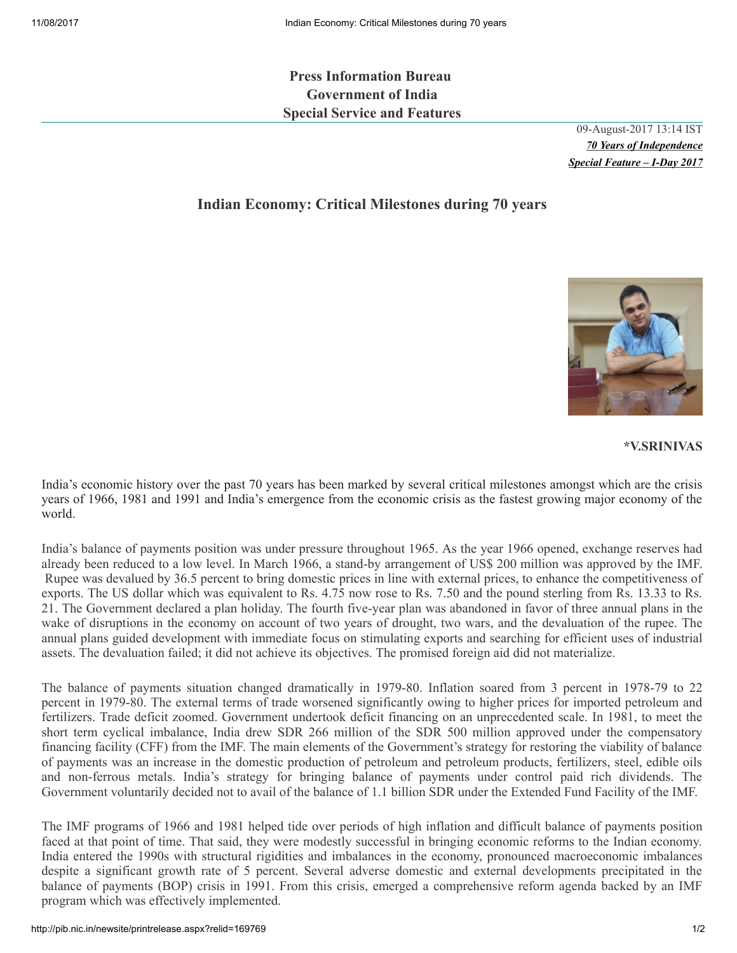Press Information Bureau Government of India Special Service and Features

> 09-August-2017 13:14 IST *70 Years of Independence Special Feature – I-Day 2017*

## Indian Economy: Critical Milestones during 70 years



## \*V.SRINIVAS

India's economic history over the past 70 years has been marked by several critical milestones amongst which are the crisis years of 1966, 1981 and 1991 and India's emergence from the economic crisis as the fastest growing major economy of the world.

India's balance of payments position was under pressure throughout 1965. As the year 1966 opened, exchange reserves had already been reduced to a low level. In March 1966, a stand-by arrangement of US\$ 200 million was approved by the IMF. Rupee was devalued by 36.5 percent to bring domestic prices in line with external prices, to enhance the competitiveness of exports. The US dollar which was equivalent to Rs. 4.75 now rose to Rs. 7.50 and the pound sterling from Rs. 13.33 to Rs. 21. The Government declared a plan holiday. The fourth five-year plan was abandoned in favor of three annual plans in the wake of disruptions in the economy on account of two years of drought, two wars, and the devaluation of the rupee. The annual plans guided development with immediate focus on stimulating exports and searching for efficient uses of industrial assets. The devaluation failed; it did not achieve its objectives. The promised foreign aid did not materialize.

The balance of payments situation changed dramatically in 1979-80. Inflation soared from 3 percent in 1978-79 to 22 percent in 1979-80. The external terms of trade worsened significantly owing to higher prices for imported petroleum and fertilizers. Trade deficit zoomed. Government undertook deficit financing on an unprecedented scale. In 1981, to meet the short term cyclical imbalance, India drew SDR 266 million of the SDR 500 million approved under the compensatory financing facility (CFF) from the IMF. The main elements of the Government's strategy for restoring the viability of balance of payments was an increase in the domestic production of petroleum and petroleum products, fertilizers, steel, edible oils and non-ferrous metals. India's strategy for bringing balance of payments under control paid rich dividends. The Government voluntarily decided not to avail of the balance of 1.1 billion SDR under the Extended Fund Facility of the IMF.

The IMF programs of 1966 and 1981 helped tide over periods of high inflation and difficult balance of payments position faced at that point of time. That said, they were modestly successful in bringing economic reforms to the Indian economy. India entered the 1990s with structural rigidities and imbalances in the economy, pronounced macroeconomic imbalances despite a significant growth rate of 5 percent. Several adverse domestic and external developments precipitated in the balance of payments (BOP) crisis in 1991. From this crisis, emerged a comprehensive reform agenda backed by an IMF program which was effectively implemented.